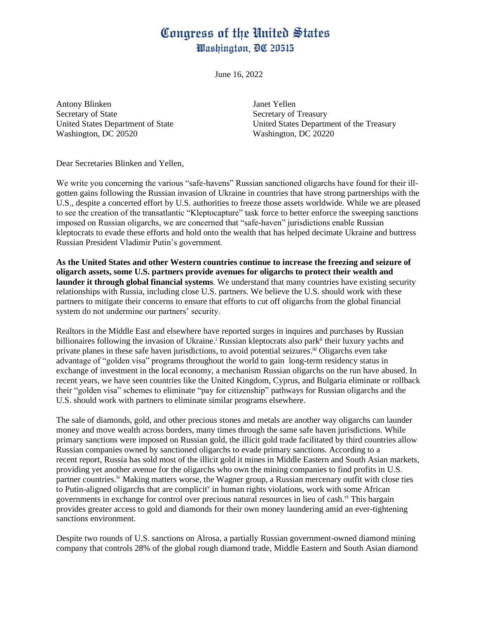## Congress of the United States Washington, DC 20515

June 16, 2022

Antony Blinken Janet Yellen Secretary of State Secretary of Treasury Washington, DC 20520 Washington, DC 20220

United States Department of State United States Department of the Treasury

Dear Secretaries Blinken and Yellen,

We write you concerning the various "safe-havens" Russian sanctioned oligarchs have found for their illgotten gains following the Russian invasion of Ukraine in countries that have strong partnerships with the U.S., despite a concerted effort by U.S. authorities to freeze those assets worldwide. While we are pleased to see the creation of the transatlantic "Kleptocapture" task force to better enforce the sweeping sanctions imposed on Russian oligarchs, we are concerned that "safe-haven" jurisdictions enable Russian kleptocrats to evade these efforts and hold onto the wealth that has helped decimate Ukraine and buttress Russian President Vladimir Putin's government.

**As the United States and other Western countries continue to increase the freezing and seizure of oligarch assets, some U.S. partners provide avenues for oligarchs to protect their wealth and launder it through global financial systems**. We understand that many countries have existing security relationships with Russia, including close U.S. partners. We believe the U.S. should work with these partners to mitigate their concerns to ensure that efforts to cut off oligarchs from the global financial system do not undermine our partners' security.

Realtors in the Middle East and elsewhere have reported surges in inquires and purchases by Russian billionaires following the invasion of Ukraine.<sup>i</sup> Russian kleptocrats also park<sup>ii</sup> their luxury yachts and private planes in these safe haven jurisdictions, to avoid potential seizures.<sup>iii</sup> Oligarchs even take advantage of "golden visa" programs throughout the world to gain long-term residency status in exchange of investment in the local economy, a mechanism Russian oligarchs on the run have abused. In recent years, we have seen countries like the United Kingdom, Cyprus, and Bulgaria eliminate or rollback their "golden visa" schemes to eliminate "pay for citizenship" pathways for Russian oligarchs and the U.S. should work with partners to eliminate similar programs elsewhere.

The sale of diamonds, gold, and other precious stones and metals are another way oligarchs can launder money and move wealth across borders, many times through the same safe haven jurisdictions. While primary sanctions were imposed on Russian gold, the illicit gold trade facilitated by third countries allow Russian companies owned by sanctioned oligarchs to evade primary sanctions. According to a recent report, Russia has sold most of the illicit gold it mines in Middle Eastern and South Asian markets, providing yet another avenue for the oligarchs who own the mining companies to find profits in U.S. partner countries.<sup>iv</sup> Making matters worse, the Wagner group, a Russian mercenary outfit with close ties to Putin-aligned oligarchs that are complicit<sup>v</sup> in human rights violations, work with some African governments in exchange for control over precious natural resources in lieu of cash.<sup>vi</sup> This bargain provides greater access to gold and diamonds for their own money laundering amid an ever-tightening sanctions environment.

Despite two rounds of U.S. sanctions on Alrosa, a partially Russian government-owned diamond mining company that controls 28% of the global rough diamond trade, Middle Eastern and South Asian diamond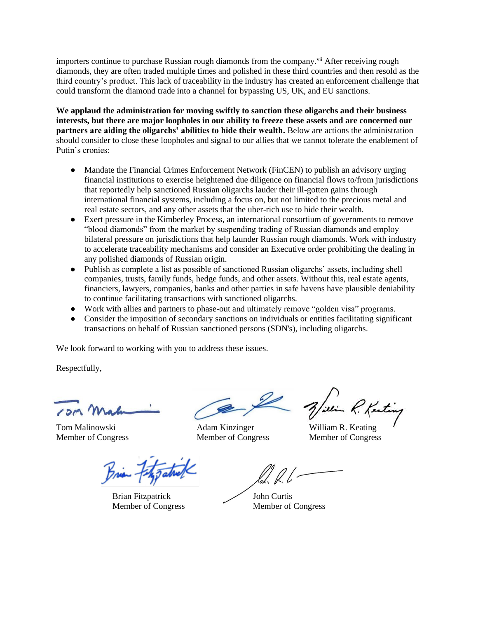importers continue to purchase Russian rough diamonds from the company.<sup>vii</sup> After receiving rough diamonds, they are often traded multiple times and polished in these third countries and then resold as the third country's product. This lack of traceability in the industry has created an enforcement challenge that could transform the diamond trade into a channel for bypassing US, UK, and EU sanctions.

**We applaud the administration for moving swiftly to sanction these oligarchs and their business interests, but there are major loopholes in our ability to freeze these assets and are concerned our partners are aiding the oligarchs' abilities to hide their wealth.** Below are actions the administration should consider to close these loopholes and signal to our allies that we cannot tolerate the enablement of Putin's cronies:

- Mandate the Financial Crimes Enforcement Network (FinCEN) to publish an advisory urging financial institutions to exercise heightened due diligence on financial flows to/from jurisdictions that reportedly help sanctioned Russian oligarchs lauder their ill-gotten gains through international financial systems, including a focus on, but not limited to the precious metal and real estate sectors, and any other assets that the uber-rich use to hide their wealth.
- Exert pressure in the Kimberley Process, an international consortium of governments to remove "blood diamonds" from the market by suspending trading of Russian diamonds and employ bilateral pressure on jurisdictions that help launder Russian rough diamonds. Work with industry to accelerate traceability mechanisms and consider an Executive order prohibiting the dealing in any polished diamonds of Russian origin.
- Publish as complete a list as possible of sanctioned Russian oligarchs' assets, including shell companies, trusts, family funds, hedge funds, and other assets. Without this, real estate agents, financiers, lawyers, companies, banks and other parties in safe havens have plausible deniability to continue facilitating transactions with sanctioned oligarchs.
- Work with allies and partners to phase-out and ultimately remove "golden visa" programs.
- Consider the imposition of secondary sanctions on individuals or entities facilitating significant transactions on behalf of Russian sanctioned persons (SDN's), including oligarchs.

We look forward to working with you to address these issues.

Respectfully,

P. Kenting

Tom Malinowski Adam Kinzinger William R. Keating Member of Congress Member of Congress Member of Congress

Brian Fitzgatuel

Brian Fitzpatrick John Curtis

Member of Congress Member of Congress